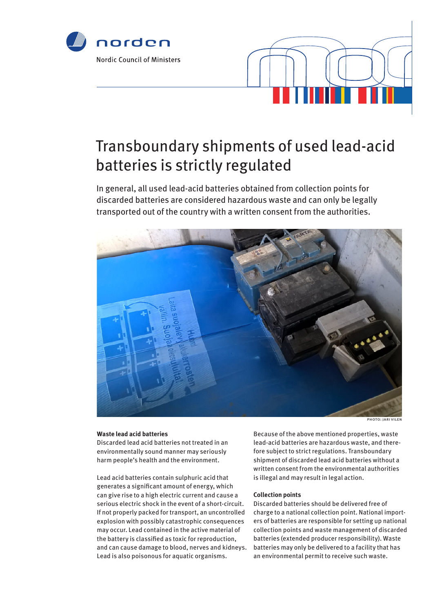



# Transboundary shipments of used lead-acid batteries is strictly regulated

In general, all used lead-acid batteries obtained from collection points for discarded batteries are considered hazardous waste and can only be legally transported out of the country with a written consent from the authorities.



photo: jari vilen

### **Waste lead acid batteries**

Discarded lead acid batteries not treated in an environmentally sound manner may seriously harm people's health and the environment.

Lead acid batteries contain sulphuric acid that generates a significant amount of energy, which can give rise to a high electric current and cause a serious electric shock in the event of a short-circuit. If not properly packed for transport, an uncontrolled explosion with possibly catastrophic consequences may occur. Lead contained in the active material of the battery is classified as toxic for reproduction, and can cause damage to blood, nerves and kidneys. Lead is also poisonous for aquatic organisms.

Because of the above mentioned properties, waste lead-acid batteries are hazardous waste, and therefore subject to strict regulations. Transboundary shipment of discarded lead acid batteries without a written consent from the environmental authorities is illegal and may result in legal action.

### **Collection points**

Discarded batteries should be delivered free of charge to a national collection point. National importers of batteries are responsible for setting up national collection points and waste management of discarded batteries (extended producer responsibility). Waste batteries may only be delivered to a facility that has an environmental permit to receive such waste.